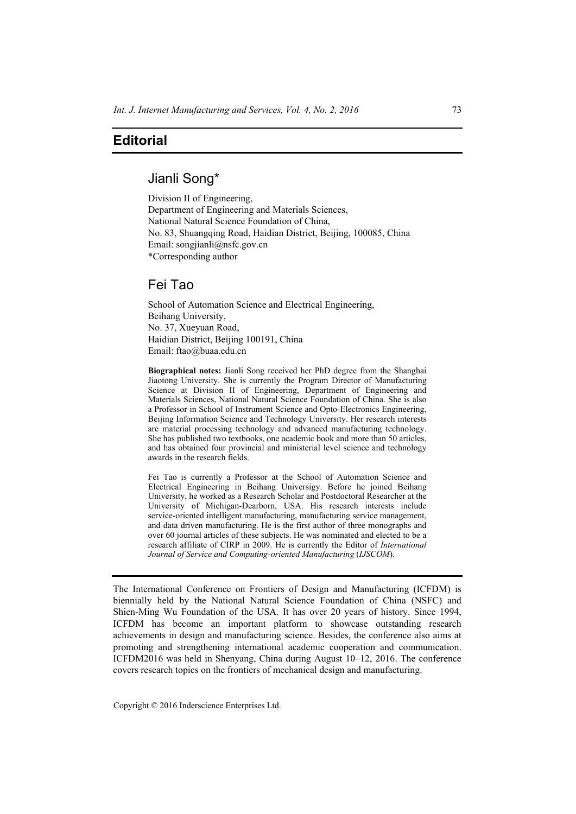## **Editorial**

## Jianli Song\*

Division II of Engineering, Department of Engineering and Materials Sciences, National Natural Science Foundation of China, No. 83, Shuangqing Road, Haidian District, Beijing, 100085, China Email: songjianli@nsfc.gov.cn \*Corresponding author

## Fei Tao

School of Automation Science and Electrical Engineering, Beihang University, No. 37, Xueyuan Road, Haidian District, Beijing 100191, China Email: ftao@buaa.edu.cn

**Biographical notes:** Jianli Song received her PhD degree from the Shanghai Jiaotong University. She is currently the Program Director of Manufacturing Science at Division II of Engineering, Department of Engineering and Materials Sciences, National Natural Science Foundation of China. She is also a Professor in School of Instrument Science and Opto-Electronics Engineering, Beijing Information Science and Technology University. Her research interests are material processing technology and advanced manufacturing technology. She has published two textbooks, one academic book and more than 50 articles, and has obtained four provincial and ministerial level science and technology awards in the research fields.

Fei Tao is currently a Professor at the School of Automation Science and Electrical Engineering in Beihang Universigy. Before he joined Beihang University, he worked as a Research Scholar and Postdoctoral Researcher at the University of Michigan-Dearborn, USA. His research interests include service-oriented intelligent manufacturing, manufacturing service management, and data driven manufacturing. He is the first author of three monographs and over 60 journal articles of these subjects. He was nominated and elected to be a research affiliate of CIRP in 2009. He is currently the Editor of *International Journal of Service and Computing-oriented Manufacturing* (*IJSCOM*).

The International Conference on Frontiers of Design and Manufacturing (ICFDM) is biennially held by the National Natural Science Foundation of China (NSFC) and Shien-Ming Wu Foundation of the USA. It has over 20 years of history. Since 1994, ICFDM has become an important platform to showcase outstanding research achievements in design and manufacturing science. Besides, the conference also aims at promoting and strengthening international academic cooperation and communication. ICFDM2016 was held in Shenyang, China during August 10–12, 2016. The conference covers research topics on the frontiers of mechanical design and manufacturing.

Copyright © 2016 Inderscience Enterprises Ltd.